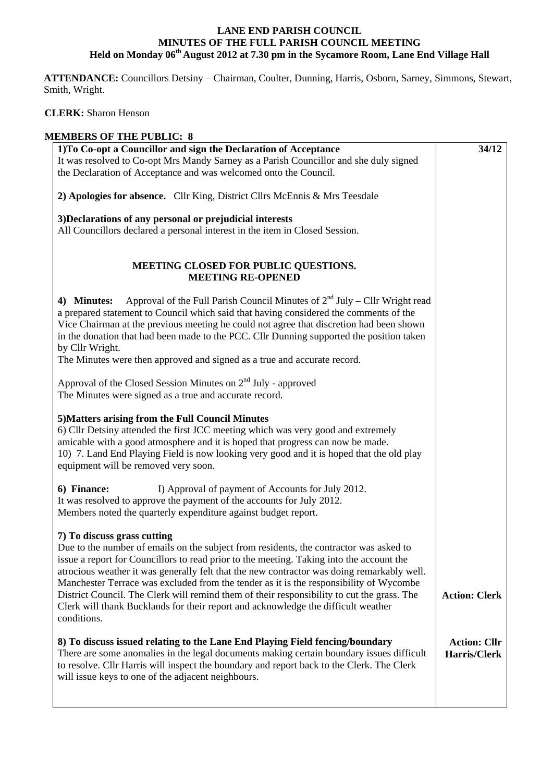## **LANE END PARISH COUNCIL MINUTES OF THE FULL PARISH COUNCIL MEETING Held on Monday 06th August 2012 at 7.30 pm in the Sycamore Room, Lane End Village Hall**

 **ATTENDANCE:** Councillors Detsiny – Chairman, Coulter, Dunning, Harris, Osborn, Sarney, Simmons, Stewart, Smith, Wright.

## **CLERK:** Sharon Henson

| <b>MEMBERS OF THE PUBLIC: 8</b>                                                             |                      |
|---------------------------------------------------------------------------------------------|----------------------|
| 1) To Co-opt a Councillor and sign the Declaration of Acceptance                            | 34/12                |
| It was resolved to Co-opt Mrs Mandy Sarney as a Parish Councillor and she duly signed       |                      |
| the Declaration of Acceptance and was welcomed onto the Council.                            |                      |
|                                                                                             |                      |
| 2) Apologies for absence. Cllr King, District Cllrs McEnnis & Mrs Teesdale                  |                      |
| 3) Declarations of any personal or prejudicial interests                                    |                      |
| All Councillors declared a personal interest in the item in Closed Session.                 |                      |
|                                                                                             |                      |
|                                                                                             |                      |
| MEETING CLOSED FOR PUBLIC QUESTIONS.                                                        |                      |
| <b>MEETING RE-OPENED</b>                                                                    |                      |
| Approval of the Full Parish Council Minutes of $2nd$ July – Cllr Wright read<br>4) Minutes: |                      |
| a prepared statement to Council which said that having considered the comments of the       |                      |
| Vice Chairman at the previous meeting he could not agree that discretion had been shown     |                      |
| in the donation that had been made to the PCC. Cllr Dunning supported the position taken    |                      |
|                                                                                             |                      |
| by Cllr Wright.                                                                             |                      |
| The Minutes were then approved and signed as a true and accurate record.                    |                      |
| Approval of the Closed Session Minutes on 2 <sup>nd</sup> July - approved                   |                      |
| The Minutes were signed as a true and accurate record.                                      |                      |
|                                                                                             |                      |
| 5) Matters arising from the Full Council Minutes                                            |                      |
| 6) Cllr Detsiny attended the first JCC meeting which was very good and extremely            |                      |
| amicable with a good atmosphere and it is hoped that progress can now be made.              |                      |
| 10) 7. Land End Playing Field is now looking very good and it is hoped that the old play    |                      |
| equipment will be removed very soon.                                                        |                      |
|                                                                                             |                      |
| 6) Finance:<br>I) Approval of payment of Accounts for July 2012.                            |                      |
| It was resolved to approve the payment of the accounts for July 2012.                       |                      |
| Members noted the quarterly expenditure against budget report.                              |                      |
|                                                                                             |                      |
| 7) To discuss grass cutting                                                                 |                      |
| Due to the number of emails on the subject from residents, the contractor was asked to      |                      |
| issue a report for Councillors to read prior to the meeting. Taking into the account the    |                      |
| atrocious weather it was generally felt that the new contractor was doing remarkably well.  |                      |
| Manchester Terrace was excluded from the tender as it is the responsibility of Wycombe      |                      |
| District Council. The Clerk will remind them of their responsibility to cut the grass. The  | <b>Action: Clerk</b> |
| Clerk will thank Bucklands for their report and acknowledge the difficult weather           |                      |
| conditions.                                                                                 |                      |
|                                                                                             |                      |
| 8) To discuss issued relating to the Lane End Playing Field fencing/boundary                | <b>Action: Cllr</b>  |
| There are some anomalies in the legal documents making certain boundary issues difficult    | Harris/Clerk         |
| to resolve. Cllr Harris will inspect the boundary and report back to the Clerk. The Clerk   |                      |
| will issue keys to one of the adjacent neighbours.                                          |                      |
|                                                                                             |                      |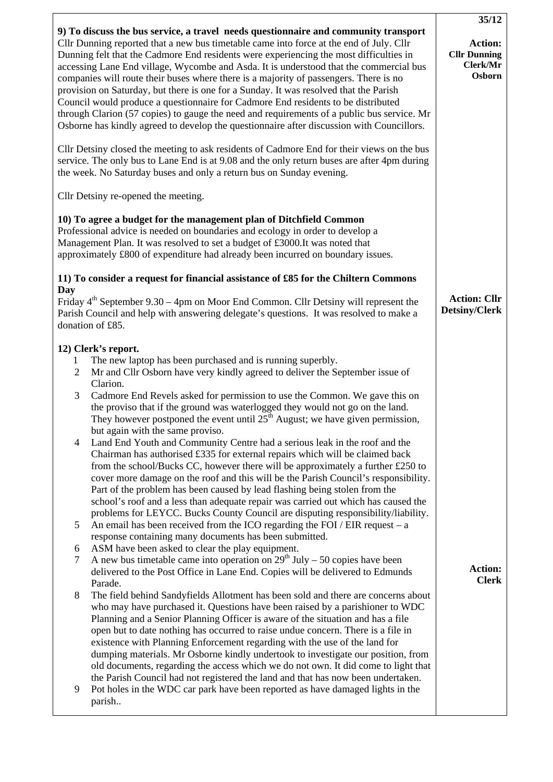|                                                                                                                                                                                                                                                                                                                                                                                                                                                                                                                                                                                                                                                                                                                                                                                                                                      | 35/12                                                |
|--------------------------------------------------------------------------------------------------------------------------------------------------------------------------------------------------------------------------------------------------------------------------------------------------------------------------------------------------------------------------------------------------------------------------------------------------------------------------------------------------------------------------------------------------------------------------------------------------------------------------------------------------------------------------------------------------------------------------------------------------------------------------------------------------------------------------------------|------------------------------------------------------|
| 9) To discuss the bus service, a travel needs questionnaire and community transport<br>Cllr Dunning reported that a new bus timetable came into force at the end of July. Cllr<br>Dunning felt that the Cadmore End residents were experiencing the most difficulties in<br>accessing Lane End village, Wycombe and Asda. It is understood that the commercial bus<br>companies will route their buses where there is a majority of passengers. There is no<br>provision on Saturday, but there is one for a Sunday. It was resolved that the Parish<br>Council would produce a questionnaire for Cadmore End residents to be distributed<br>through Clarion (57 copies) to gauge the need and requirements of a public bus service. Mr<br>Osborne has kindly agreed to develop the questionnaire after discussion with Councillors. | Action:<br><b>Cllr Dunning</b><br>Clerk/Mr<br>Osborn |
| Cllr Detsiny closed the meeting to ask residents of Cadmore End for their views on the bus<br>service. The only bus to Lane End is at 9.08 and the only return buses are after 4pm during<br>the week. No Saturday buses and only a return bus on Sunday evening.                                                                                                                                                                                                                                                                                                                                                                                                                                                                                                                                                                    |                                                      |
| Cllr Detsiny re-opened the meeting.                                                                                                                                                                                                                                                                                                                                                                                                                                                                                                                                                                                                                                                                                                                                                                                                  |                                                      |
| 10) To agree a budget for the management plan of Ditchfield Common<br>Professional advice is needed on boundaries and ecology in order to develop a<br>Management Plan. It was resolved to set a budget of £3000. It was noted that<br>approximately £800 of expenditure had already been incurred on boundary issues.<br>11) To consider a request for financial assistance of £85 for the Chiltern Commons                                                                                                                                                                                                                                                                                                                                                                                                                         |                                                      |
| Day<br>Friday $4th$ September 9.30 – 4pm on Moor End Common. Cllr Detsiny will represent the<br>Parish Council and help with answering delegate's questions. It was resolved to make a<br>donation of £85.                                                                                                                                                                                                                                                                                                                                                                                                                                                                                                                                                                                                                           | <b>Action: Cllr</b><br><b>Detsiny/Clerk</b>          |
| 12) Clerk's report.<br>The new laptop has been purchased and is running superbly.<br>1<br>Mr and Cllr Osborn have very kindly agreed to deliver the September issue of<br>$\overline{2}$<br>Clarion.<br>3<br>Cadmore End Revels asked for permission to use the Common. We gave this on<br>the proviso that if the ground was waterlogged they would not go on the land.                                                                                                                                                                                                                                                                                                                                                                                                                                                             |                                                      |
| They however postponed the event until $25th$ August; we have given permission,<br>but again with the same proviso.<br>Land End Youth and Community Centre had a serious leak in the roof and the<br>4<br>Chairman has authorised £335 for external repairs which will be claimed back<br>from the school/Bucks CC, however there will be approximately a further £250 to<br>cover more damage on the roof and this will be the Parish Council's responsibility.<br>Part of the problem has been caused by lead flashing being stolen from the                                                                                                                                                                                                                                                                                       |                                                      |
| school's roof and a less than adequate repair was carried out which has caused the<br>problems for LEYCC. Bucks County Council are disputing responsibility/liability.<br>An email has been received from the ICO regarding the FOI / EIR request $- a$<br>5<br>response containing many documents has been submitted.<br>ASM have been asked to clear the play equipment.<br>6                                                                                                                                                                                                                                                                                                                                                                                                                                                      |                                                      |
| A new bus timetable came into operation on $29th$ July – 50 copies have been<br>7<br>delivered to the Post Office in Lane End. Copies will be delivered to Edmunds<br>Parade.<br>8<br>The field behind Sandyfields Allotment has been sold and there are concerns about                                                                                                                                                                                                                                                                                                                                                                                                                                                                                                                                                              | <b>Action:</b><br><b>Clerk</b>                       |
| who may have purchased it. Questions have been raised by a parishioner to WDC<br>Planning and a Senior Planning Officer is aware of the situation and has a file<br>open but to date nothing has occurred to raise undue concern. There is a file in<br>existence with Planning Enforcement regarding with the use of the land for<br>dumping materials. Mr Osborne kindly undertook to investigate our position, from<br>old documents, regarding the access which we do not own. It did come to light that<br>the Parish Council had not registered the land and that has now been undertaken.                                                                                                                                                                                                                                     |                                                      |
| Pot holes in the WDC car park have been reported as have damaged lights in the<br>9<br>parish                                                                                                                                                                                                                                                                                                                                                                                                                                                                                                                                                                                                                                                                                                                                        |                                                      |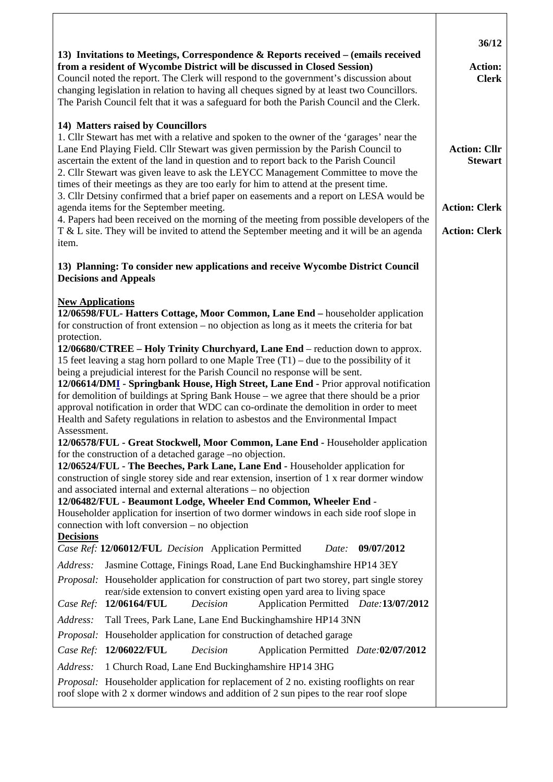| 13) Invitations to Meetings, Correspondence $\&$ Reports received – (emails received<br>from a resident of Wycombe District will be discussed in Closed Session)<br>Council noted the report. The Clerk will respond to the government's discussion about<br>changing legislation in relation to having all cheques signed by at least two Councillors.<br>The Parish Council felt that it was a safeguard for both the Parish Council and the Clerk.                                                                                                                                                                                                                                                                                                                                                                                                                                                                                                                                                                                                                                                                                                                                                                                                                                                                                              | 36/12<br><b>Action:</b><br><b>Clerk</b>      |
|----------------------------------------------------------------------------------------------------------------------------------------------------------------------------------------------------------------------------------------------------------------------------------------------------------------------------------------------------------------------------------------------------------------------------------------------------------------------------------------------------------------------------------------------------------------------------------------------------------------------------------------------------------------------------------------------------------------------------------------------------------------------------------------------------------------------------------------------------------------------------------------------------------------------------------------------------------------------------------------------------------------------------------------------------------------------------------------------------------------------------------------------------------------------------------------------------------------------------------------------------------------------------------------------------------------------------------------------------|----------------------------------------------|
| 14) Matters raised by Councillors<br>1. Cllr Stewart has met with a relative and spoken to the owner of the 'garages' near the<br>Lane End Playing Field. Cllr Stewart was given permission by the Parish Council to<br>ascertain the extent of the land in question and to report back to the Parish Council<br>2. Cllr Stewart was given leave to ask the LEYCC Management Committee to move the<br>times of their meetings as they are too early for him to attend at the present time.<br>3. Cllr Detsiny confirmed that a brief paper on easements and a report on LESA would be                                                                                                                                                                                                                                                                                                                                                                                                                                                                                                                                                                                                                                                                                                                                                              | <b>Action: Cllr</b><br><b>Stewart</b>        |
| agenda items for the September meeting.<br>4. Papers had been received on the morning of the meeting from possible developers of the<br>T & L site. They will be invited to attend the September meeting and it will be an agenda<br>item.                                                                                                                                                                                                                                                                                                                                                                                                                                                                                                                                                                                                                                                                                                                                                                                                                                                                                                                                                                                                                                                                                                         | <b>Action: Clerk</b><br><b>Action: Clerk</b> |
| 13) Planning: To consider new applications and receive Wycombe District Council<br><b>Decisions and Appeals</b>                                                                                                                                                                                                                                                                                                                                                                                                                                                                                                                                                                                                                                                                                                                                                                                                                                                                                                                                                                                                                                                                                                                                                                                                                                    |                                              |
| <b>New Applications</b><br>12/06598/FUL- Hatters Cottage, Moor Common, Lane End – householder application<br>for construction of front extension – no objection as long as it meets the criteria for bat<br>protection.<br>12/06680/CTREE – Holy Trinity Churchyard, Lane End – reduction down to approx.<br>15 feet leaving a stag horn pollard to one Maple Tree $(T1)$ – due to the possibility of it<br>being a prejudicial interest for the Parish Council no response will be sent.<br>12/06614/DMI - Springbank House, High Street, Lane End - Prior approval notification<br>for demolition of buildings at Spring Bank House – we agree that there should be a prior<br>approval notification in order that WDC can co-ordinate the demolition in order to meet<br>Health and Safety regulations in relation to asbestos and the Environmental Impact<br>Assessment.<br>12/06578/FUL - Great Stockwell, Moor Common, Lane End - Householder application<br>for the construction of a detached garage –no objection.<br>12/06524/FUL - The Beeches, Park Lane, Lane End - Householder application for<br>construction of single storey side and rear extension, insertion of 1 x rear dormer window<br>and associated internal and external alterations – no objection<br>12/06482/FUL - Beaumont Lodge, Wheeler End Common, Wheeler End - |                                              |
| Householder application for insertion of two dormer windows in each side roof slope in<br>connection with loft conversion – no objection<br><b>Decisions</b><br>Case Ref: 12/06012/FUL Decision Application Permitted<br>Date:<br>09/07/2012                                                                                                                                                                                                                                                                                                                                                                                                                                                                                                                                                                                                                                                                                                                                                                                                                                                                                                                                                                                                                                                                                                       |                                              |
| Address:<br>Jasmine Cottage, Finings Road, Lane End Buckinghamshire HP14 3EY<br>Proposal: Householder application for construction of part two storey, part single storey<br>rear/side extension to convert existing open yard area to living space<br>12/06164/FUL<br>Decision<br>Application Permitted Date: 13/07/2012<br>Case Ref:                                                                                                                                                                                                                                                                                                                                                                                                                                                                                                                                                                                                                                                                                                                                                                                                                                                                                                                                                                                                             |                                              |
| Address:<br>Tall Trees, Park Lane, Lane End Buckinghamshire HP14 3NN<br>Proposal: Householder application for construction of detached garage<br>12/06022/FUL<br>Decision<br>Application Permitted Date:02/07/2012<br>Case Ref:                                                                                                                                                                                                                                                                                                                                                                                                                                                                                                                                                                                                                                                                                                                                                                                                                                                                                                                                                                                                                                                                                                                    |                                              |
| Address:<br>1 Church Road, Lane End Buckinghamshire HP14 3HG<br>Proposal: Householder application for replacement of 2 no. existing rooflights on rear<br>roof slope with 2 x dormer windows and addition of 2 sun pipes to the rear roof slope                                                                                                                                                                                                                                                                                                                                                                                                                                                                                                                                                                                                                                                                                                                                                                                                                                                                                                                                                                                                                                                                                                    |                                              |

Τ

Г